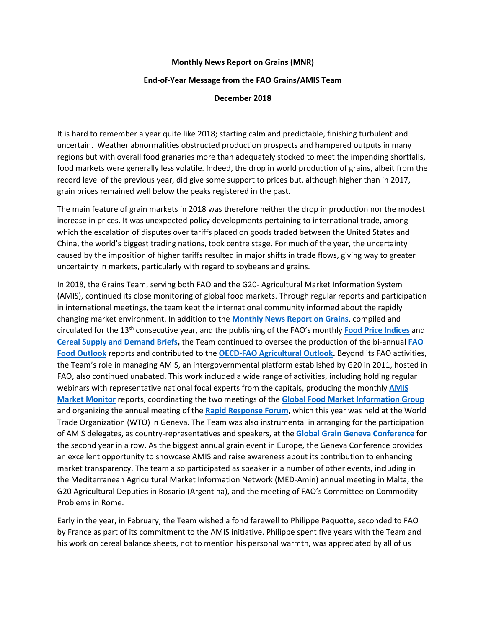## **Monthly News Report on Grains (MNR)**

## **End-of-Year Message from the FAO Grains/AMIS Team**

## **December 2018**

It is hard to remember a year quite like 2018; starting calm and predictable, finishing turbulent and uncertain. Weather abnormalities obstructed production prospects and hampered outputs in many regions but with overall food granaries more than adequately stocked to meet the impending shortfalls, food markets were generally less volatile. Indeed, the drop in world production of grains, albeit from the record level of the previous year, did give some support to prices but, although higher than in 2017, grain prices remained well below the peaks registered in the past.

The main feature of grain markets in 2018 was therefore neither the drop in production nor the modest increase in prices. It was unexpected policy developments pertaining to international trade, among which the escalation of disputes over tariffs placed on goods traded between the United States and China, the world's biggest trading nations, took centre stage. For much of the year, the uncertainty caused by the imposition of higher tariffs resulted in major shifts in trade flows, giving way to greater uncertainty in markets, particularly with regard to soybeans and grains.

In 2018, the Grains Team, serving both FAO and the G20- Agricultural Market Information System (AMIS), continued its close monitoring of global food markets. Through regular reports and participation in international meetings, the team kept the international community informed about the rapidly changing market environment. In addition to the **[Monthly News Report on Grains](http://www.fao.org/economic/est/publications/grains-publications/monthly-news-report-on-grains-mnr/en/)**, compiled and circulated for the 13th consecutive year, and the publishing of the FAO's monthly **[Food Price Indices](http://www.fao.org/worldfoodsituation/foodpricesindex/en/)** and **[Cereal Supply and Demand Briefs,](http://www.fao.org/worldfoodsituation/csdb/en/)** the Team continued to oversee the production of the bi-annual **[FAO](http://www.fao.org/giews/reports/food-outlook/en/)  [Food Outlook](http://www.fao.org/giews/reports/food-outlook/en/)** reports and contributed to the **[OECD-FAO Agricultural Outlook.](http://www.agri-outlook.org/)** Beyond its FAO activities, the Team's role in managing AMIS, an intergovernmental platform established by G20 in 2011, hosted in FAO, also continued unabated. This work included a wide range of activities, including holding regular webinars with representative national focal experts from the capitals, producing the monthly **[AMIS](http://www.amis-outlook.org/amis-monitoring/monthly-report/en/)  [Market Monitor](http://www.amis-outlook.org/amis-monitoring/monthly-report/en/)** reports, coordinating the two meetings of the **[Global Food Market Information](http://www.amis-outlook.org/events/information-group/en/) Group** and organizing the annual meeting of the **[Rapid Response Forum](http://www.amis-outlook.org/events/rapid-response-forum/en/)**, which this year was held at the World Trade Organization (WTO) in Geneva. The Team was also instrumental in arranging for the participation of AMIS delegates, as country-representatives and speakers, at the **[Global Grain Geneva Conference](http://www.globalgrainevents.com/geneva/details.html)** for the second year in a row. As the biggest annual grain event in Europe, the Geneva Conference provides an excellent opportunity to showcase AMIS and raise awareness about its contribution to enhancing market transparency. The team also participated as speaker in a number of other events, including in the Mediterranean Agricultural Market Information Network (MED-Amin) annual meeting in Malta, the G20 Agricultural Deputies in Rosario (Argentina), and the meeting of FAO's Committee on Commodity Problems in Rome.

Early in the year, in February, the Team wished a fond farewell to Philippe Paquotte, seconded to FAO by France as part of its commitment to the AMIS initiative. Philippe spent five years with the Team and his work on cereal balance sheets, not to mention his personal warmth, was appreciated by all of us